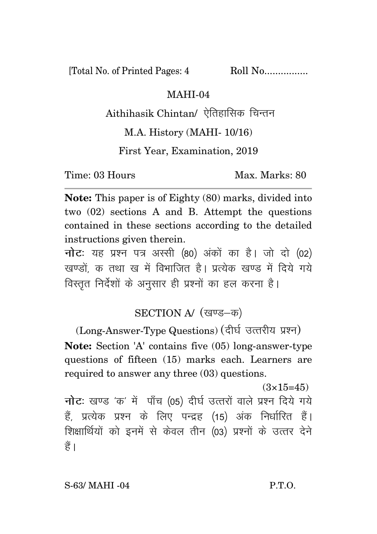[Total No. of Printed Pages: 4 Roll No.................

## MAHI-04

Aithihasik Chintan/ ऐतिहासिक चिन्तन

## M.A. History (MAHI- 10/16)

First Year, Examination, 2019

Time: 03 Hours Max. Marks: 80

**Note:** This paper is of Eighty (80) marks, divided into two (02) sections A and B. Attempt the questions contained in these sections according to the detailed instructions given therein.

**नोट:** यह प्रश्न पत्र अस्सी (80) अंकों का है। जो दो (02) खण्डों क तथा ख में विभाजित है। प्रत्येक खण्ड में दिये गये विस्तुत निर्देशों के अनुसार ही प्रश्नों का हल करना है।

## SECTION A/ (खण्ड-क)

(Long-Answer-Type Questions) (दीर्घ उत्तरीय प्रश्न) **Note:** Section 'A' contains five (05) long-answer-type questions of fifteen (15) marks each. Learners are required to answer any three (03) questions.

 $(3\times15=45)$ **नोट**: खण्ड 'क' में पाँच (05) दीर्घ उत्तरों वाले प्रश्न दिये गये हैं, प्रत्येक प्रश्न के लिए पन्द्रह (15) अंक निर्धारित हैं। शिक्षार्थियों को इनमें से केवल तीन (03) प्रश्नों के उत्तर देने हैं।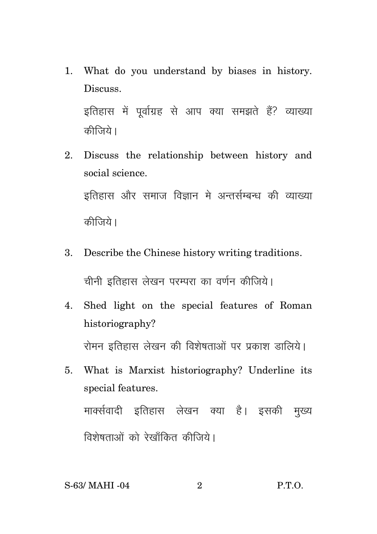1. What do you understand by biases in history. Discuss.

इतिहास में पूर्वाग्रह से आप क्या समझते हैं? व्याख्या कीजिये।

- 2. Discuss the relationship between history and social science. इतिहास और समाज विज्ञान मे अन्तर्सम्बन्ध की व्याख्या कीजिये।
- 3. Describe the Chinese history writing traditions. चीनी इतिहास लेखन परम्परा का वर्णन कीजिये।
- 4. Shed light on the special features of Roman historiography? रोमन इतिहास लेखन की विशेषताओं पर प्रकाश डालिये।
- 5. What is Marxist historiography? Underline its special features. मार्क्सवादी इतिहास लेखन क्या है। इसकी मुख्य विशेषताओं को रेखाँकित कीजिये।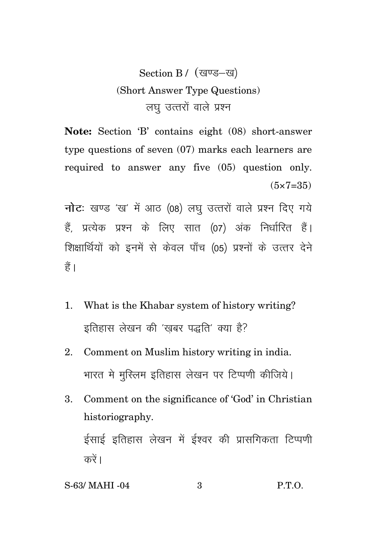## Section B / (खण्ड-ख) (Short Answer Type Questions) लघु उत्तरों वाले प्रश्न

**Note:** Section 'B' contains eight (08) short-answer type questions of seven (07) marks each learners are required to answer any five (05) question only.  $(5 \times 7 = 35)$ 

**नोट:** खण्ड 'ख' में आठ (08) लघु उत्तरों वाले प्रश्न दिए गये हैं, प्रत्येक प्रश्न के लिए सात (07) अंक निर्धारित हैं। शिक्षार्थियों को इनमें से केवल पाँच (05) प्रश्नों के उत्तर देने हैं।

- 1. What is the Khabar system of history writing? इतिहास लेखन की 'खबर पद्धति' क्या है?
- 2. Comment on Muslim history writing in india. भारत मे मुस्लिम इतिहास लेखन पर टिप्पणी कीजिये।
- 3. Comment on the significance of 'God' in Christian historiography.

ईसाई इतिहास लेखन में ईश्वर की प्रासगिकता टिप्पणी करें ।

| S-63/ MAHI -04 | P.T.O. |
|----------------|--------|
|                |        |